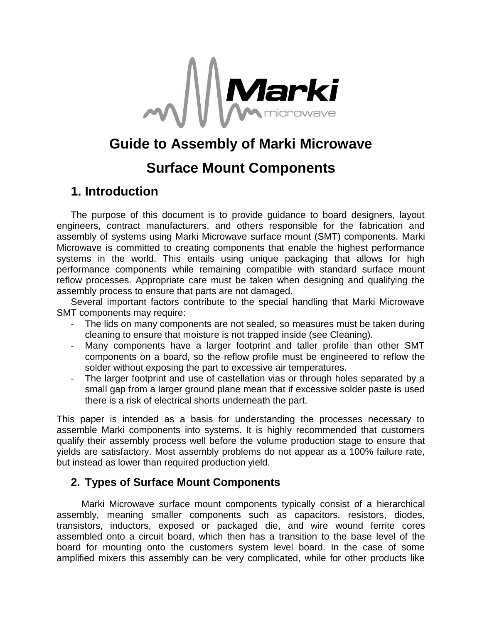

# **Guide to Assembly of Marki Microwave**

# **Surface Mount Components**

# **1. Introduction**

The purpose of this document is to provide guidance to board designers, layout engineers, contract manufacturers, and others responsible for the fabrication and assembly of systems using Marki Microwave surface mount (SMT) components. Marki Microwave is committed to creating components that enable the highest performance systems in the world. This entails using unique packaging that allows for high performance components while remaining compatible with standard surface mount reflow processes. Appropriate care must be taken when designing and qualifying the assembly process to ensure that parts are not damaged.

Several important factors contribute to the special handling that Marki Microwave SMT components may require:

- The lids on many components are not sealed, so measures must be taken during cleaning to ensure that moisture is not trapped inside (see Cleaning).
- Many components have a larger footprint and taller profile than other SMT components on a board, so the reflow profile must be engineered to reflow the solder without exposing the part to excessive air temperatures.
- The larger footprint and use of castellation vias or through holes separated by a small gap from a larger ground plane mean that if excessive solder paste is used there is a risk of electrical shorts underneath the part.

This paper is intended as a basis for understanding the processes necessary to assemble Marki components into systems. It is highly recommended that customers qualify their assembly process well before the volume production stage to ensure that yields are satisfactory. Most assembly problems do not appear as a 100% failure rate, but instead as lower than required production yield.

### **2. Types of Surface Mount Components**

Marki Microwave surface mount components typically consist of a hierarchical assembly, meaning smaller components such as capacitors, resistors, diodes, transistors, inductors, exposed or packaged die, and wire wound ferrite cores assembled onto a circuit board, which then has a transition to the base level of the board for mounting onto the customers system level board. In the case of some amplified mixers this assembly can be very complicated, while for other products like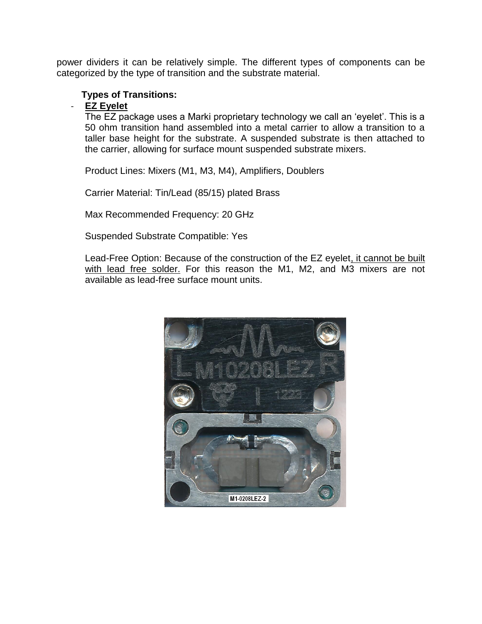power dividers it can be relatively simple. The different types of components can be categorized by the type of transition and the substrate material.

### **Types of Transitions:**

### - **EZ Eyelet**

The EZ package uses a Marki proprietary technology we call an 'eyelet'. This is a 50 ohm transition hand assembled into a metal carrier to allow a transition to a taller base height for the substrate. A suspended substrate is then attached to the carrier, allowing for surface mount suspended substrate mixers.

Product Lines: Mixers (M1, M3, M4), Amplifiers, Doublers

Carrier Material: Tin/Lead (85/15) plated Brass

Max Recommended Frequency: 20 GHz

Suspended Substrate Compatible: Yes

Lead-Free Option: Because of the construction of the EZ eyelet, it cannot be built with lead free solder. For this reason the M1, M2, and M3 mixers are not available as lead-free surface mount units.

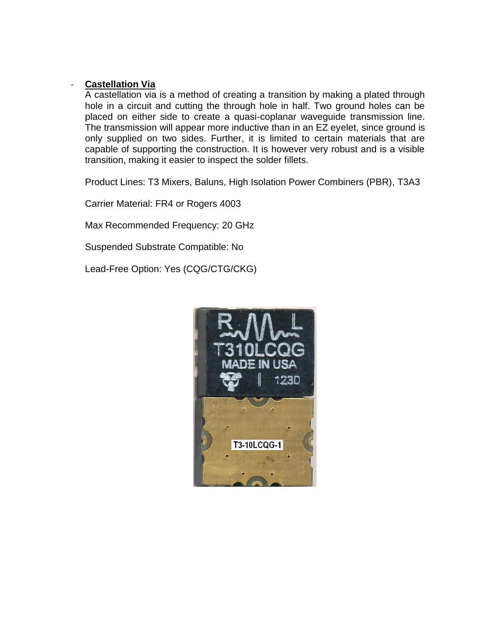### - **Castellation Via**

A castellation via is a method of creating a transition by making a plated through hole in a circuit and cutting the through hole in half. Two ground holes can be placed on either side to create a quasi-coplanar waveguide transmission line. The transmission will appear more inductive than in an EZ eyelet, since ground is only supplied on two sides. Further, it is limited to certain materials that are capable of supporting the construction. It is however very robust and is a visible transition, making it easier to inspect the solder fillets.

Product Lines: T3 Mixers, Baluns, High Isolation Power Combiners (PBR), T3A3

Carrier Material: FR4 or Rogers 4003

Max Recommended Frequency: 20 GHz

Suspended Substrate Compatible: No

Lead-Free Option: Yes (CQG/CTG/CKG)

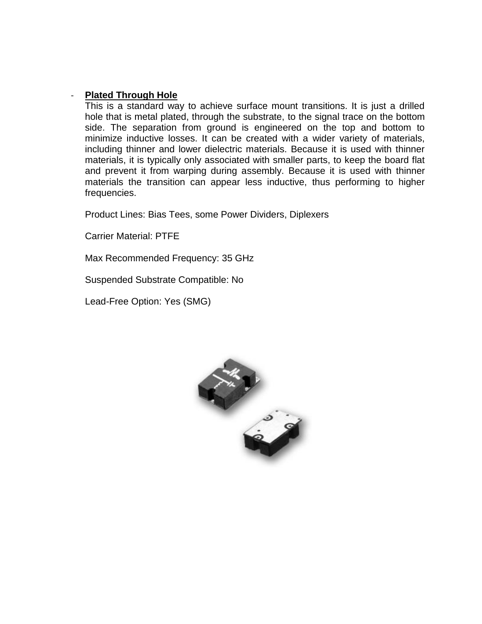#### - **Plated Through Hole**

This is a standard way to achieve surface mount transitions. It is just a drilled hole that is metal plated, through the substrate, to the signal trace on the bottom side. The separation from ground is engineered on the top and bottom to minimize inductive losses. It can be created with a wider variety of materials, including thinner and lower dielectric materials. Because it is used with thinner materials, it is typically only associated with smaller parts, to keep the board flat and prevent it from warping during assembly. Because it is used with thinner materials the transition can appear less inductive, thus performing to higher frequencies.

Product Lines: Bias Tees, some Power Dividers, Diplexers

Carrier Material: PTFE

Max Recommended Frequency: 35 GHz

Suspended Substrate Compatible: No

Lead-Free Option: Yes (SMG)

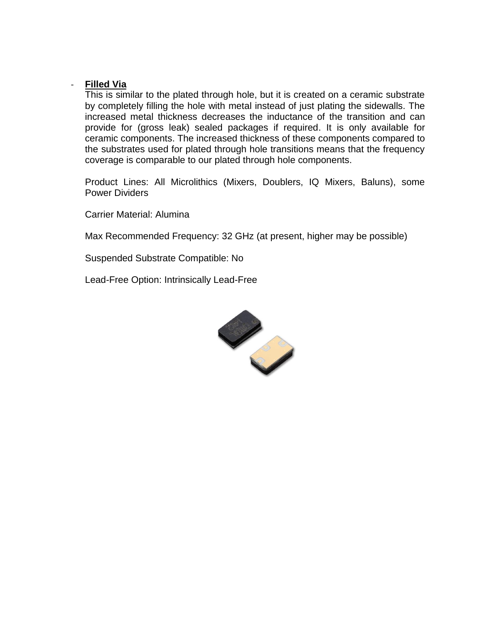#### - **Filled Via**

This is similar to the plated through hole, but it is created on a ceramic substrate by completely filling the hole with metal instead of just plating the sidewalls. The increased metal thickness decreases the inductance of the transition and can provide for (gross leak) sealed packages if required. It is only available for ceramic components. The increased thickness of these components compared to the substrates used for plated through hole transitions means that the frequency coverage is comparable to our plated through hole components.

Product Lines: All Microlithics (Mixers, Doublers, IQ Mixers, Baluns), some Power Dividers

Carrier Material: Alumina

Max Recommended Frequency: 32 GHz (at present, higher may be possible)

Suspended Substrate Compatible: No

Lead-Free Option: Intrinsically Lead-Free

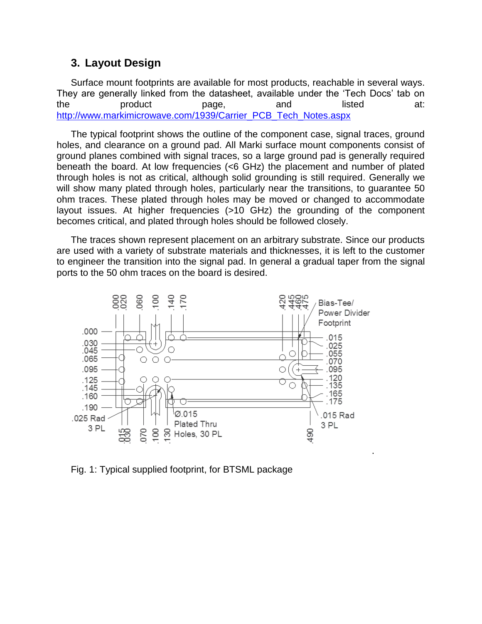### **3. Layout Design**

Surface mount footprints are available for most products, reachable in several ways. They are generally linked from the datasheet, available under the 'Tech Docs' tab on the product page, and listed at: [http://www.markimicrowave.com/1939/Carrier\\_PCB\\_Tech\\_Notes.aspx](http://www.markimicrowave.com/1939/Carrier_PCB_Tech_Notes.aspx)

The typical footprint shows the outline of the component case, signal traces, ground holes, and clearance on a ground pad. All Marki surface mount components consist of ground planes combined with signal traces, so a large ground pad is generally required beneath the board. At low frequencies (<6 GHz) the placement and number of plated through holes is not as critical, although solid grounding is still required. Generally we will show many plated through holes, particularly near the transitions, to guarantee 50 ohm traces. These plated through holes may be moved or changed to accommodate layout issues. At higher frequencies (>10 GHz) the grounding of the component becomes critical, and plated through holes should be followed closely.

The traces shown represent placement on an arbitrary substrate. Since our products are used with a variety of substrate materials and thicknesses, it is left to the customer to engineer the transition into the signal pad. In general a gradual taper from the signal ports to the 50 ohm traces on the board is desired.



Fig. 1: Typical supplied footprint, for BTSML package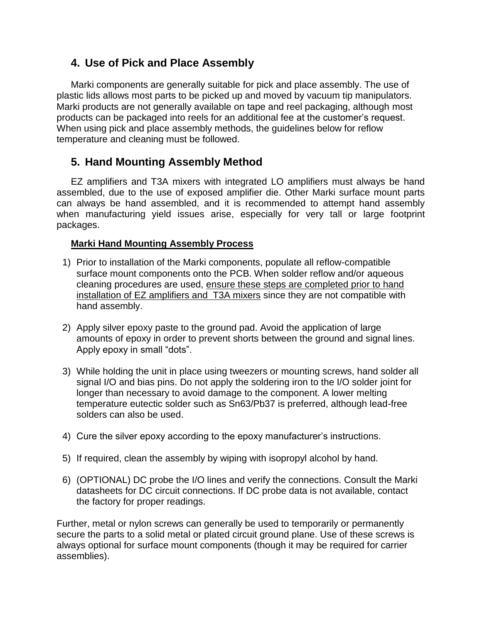## **4. Use of Pick and Place Assembly**

Marki components are generally suitable for pick and place assembly. The use of plastic lids allows most parts to be picked up and moved by vacuum tip manipulators. Marki products are not generally available on tape and reel packaging, although most products can be packaged into reels for an additional fee at the customer's request. When using pick and place assembly methods, the guidelines below for reflow temperature and cleaning must be followed.

# **5. Hand Mounting Assembly Method**

EZ amplifiers and T3A mixers with integrated LO amplifiers must always be hand assembled, due to the use of exposed amplifier die. Other Marki surface mount parts can always be hand assembled, and it is recommended to attempt hand assembly when manufacturing yield issues arise, especially for very tall or large footprint packages.

### **Marki Hand Mounting Assembly Process**

- 1) Prior to installation of the Marki components, populate all reflow-compatible surface mount components onto the PCB. When solder reflow and/or aqueous cleaning procedures are used, ensure these steps are completed prior to hand installation of EZ amplifiers and T3A mixers since they are not compatible with hand assembly.
- 2) Apply silver epoxy paste to the ground pad. Avoid the application of large amounts of epoxy in order to prevent shorts between the ground and signal lines. Apply epoxy in small "dots".
- 3) While holding the unit in place using tweezers or mounting screws, hand solder all signal I/O and bias pins. Do not apply the soldering iron to the I/O solder joint for longer than necessary to avoid damage to the component. A lower melting temperature eutectic solder such as Sn63/Pb37 is preferred, although lead-free solders can also be used.
- 4) Cure the silver epoxy according to the epoxy manufacturer's instructions.
- 5) If required, clean the assembly by wiping with isopropyl alcohol by hand.
- 6) (OPTIONAL) DC probe the I/O lines and verify the connections. Consult the Marki datasheets for DC circuit connections. If DC probe data is not available, contact the factory for proper readings.

Further, metal or nylon screws can generally be used to temporarily or permanently secure the parts to a solid metal or plated circuit ground plane. Use of these screws is always optional for surface mount components (though it may be required for carrier assemblies).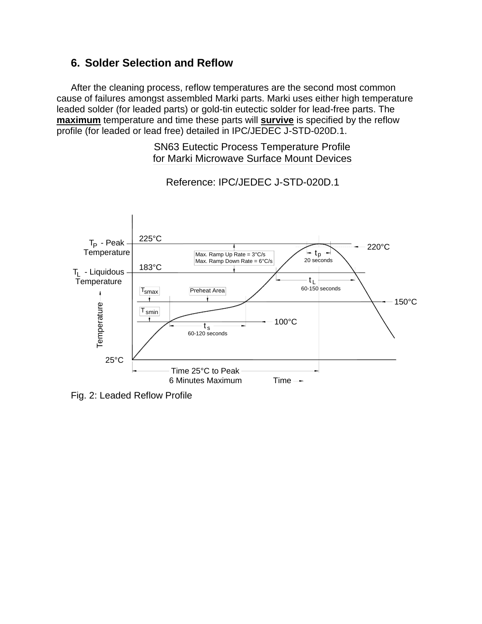## **6. Solder Selection and Reflow**

After the cleaning process, reflow temperatures are the second most common cause of failures amongst assembled Marki parts. Marki uses either high temperature leaded solder (for leaded parts) or gold-tin eutectic solder for lead-free parts. The **maximum** temperature and time these parts will **survive** is specified by the reflow profile (for leaded or lead free) detailed in IPC/JEDEC J-STD-020D.1.

### SN63 Eutectic Process Temperature Profile for Marki Microwave Surface Mount Devices



Reference: IPC/JEDEC J-STD-020D.1

Fig. 2: Leaded Reflow Profile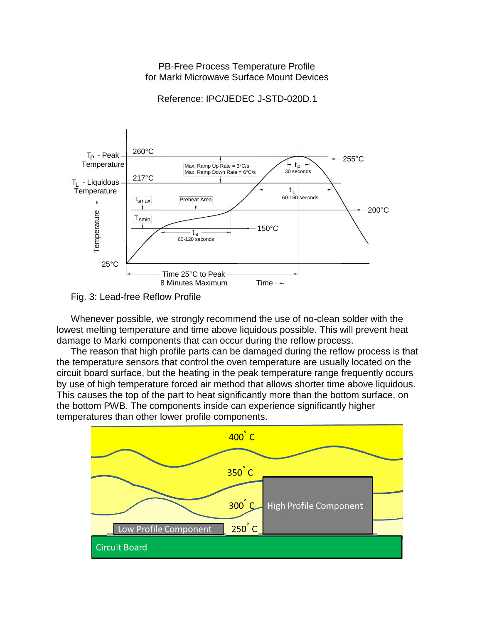#### PB-Free Process Temperature Profile for Marki Microwave Surface Mount Devices

Reference: IPC/JEDEC J-STD-020D.1



Fig. 3: Lead-free Reflow Profile

Whenever possible, we strongly recommend the use of no-clean solder with the lowest melting temperature and time above liquidous possible. This will prevent heat damage to Marki components that can occur during the reflow process.

The reason that high profile parts can be damaged during the reflow process is that the temperature sensors that control the oven temperature are usually located on the circuit board surface, but the heating in the peak temperature range frequently occurs by use of high temperature forced air method that allows shorter time above liquidous. This causes the top of the part to heat significantly more than the bottom surface, on the bottom PWB. The components inside can experience significantly higher temperatures than other lower profile components.

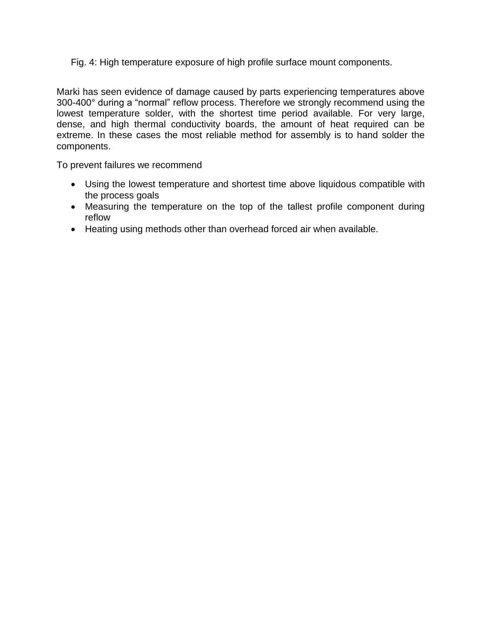Fig. 4: High temperature exposure of high profile surface mount components.

Marki has seen evidence of damage caused by parts experiencing temperatures above 300-400° during a "normal" reflow process. Therefore we strongly recommend using the lowest temperature solder, with the shortest time period available. For very large, dense, and high thermal conductivity boards, the amount of heat required can be extreme. In these cases the most reliable method for assembly is to hand solder the components.

To prevent failures we recommend

- Using the lowest temperature and shortest time above liquidous compatible with the process goals
- Measuring the temperature on the top of the tallest profile component during reflow
- Heating using methods other than overhead forced air when available.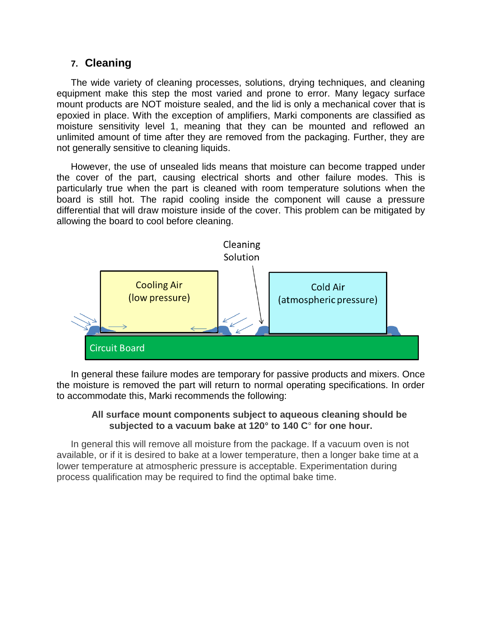### **7. Cleaning**

The wide variety of cleaning processes, solutions, drying techniques, and cleaning equipment make this step the most varied and prone to error. Many legacy surface mount products are NOT moisture sealed, and the lid is only a mechanical cover that is epoxied in place. With the exception of amplifiers, Marki components are classified as moisture sensitivity level 1, meaning that they can be mounted and reflowed an unlimited amount of time after they are removed from the packaging. Further, they are not generally sensitive to cleaning liquids.

However, the use of unsealed lids means that moisture can become trapped under the cover of the part, causing electrical shorts and other failure modes. This is particularly true when the part is cleaned with room temperature solutions when the board is still hot. The rapid cooling inside the component will cause a pressure differential that will draw moisture inside of the cover. This problem can be mitigated by allowing the board to cool before cleaning.



In general these failure modes are temporary for passive products and mixers. Once the moisture is removed the part will return to normal operating specifications. In order to accommodate this, Marki recommends the following:

#### **All surface mount components subject to aqueous cleaning should be subjected to a vacuum bake at 120° to 140 C**° **for one hour.**

In general this will remove all moisture from the package. If a vacuum oven is not available, or if it is desired to bake at a lower temperature, then a longer bake time at a lower temperature at atmospheric pressure is acceptable. Experimentation during process qualification may be required to find the optimal bake time.